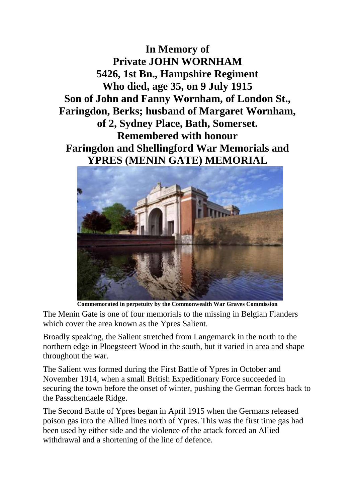**In Memory of Private JOHN WORNHAM 5426, 1st Bn., Hampshire Regiment Who died, age 35, on 9 July 1915 Son of John and Fanny Wornham, of London St., Faringdon, Berks; husband of Margaret Wornham, of 2, Sydney Place, Bath, Somerset. Remembered with honour Faringdon and Shellingford War Memorials and YPRES (MENIN GATE) MEMORIAL**



**Commemorated in perpetuity by the Commonwealth War Graves Commission** 

The Menin Gate is one of four memorials to the missing in Belgian Flanders which cover the area known as the Ypres Salient.

Broadly speaking, the Salient stretched from Langemarck in the north to the northern edge in Ploegsteert Wood in the south, but it varied in area and shape throughout the war.

The Salient was formed during the First Battle of Ypres in October and November 1914, when a small British Expeditionary Force succeeded in securing the town before the onset of winter, pushing the German forces back to the Passchendaele Ridge.

The Second Battle of Ypres began in April 1915 when the Germans released poison gas into the Allied lines north of Ypres. This was the first time gas had been used by either side and the violence of the attack forced an Allied withdrawal and a shortening of the line of defence.